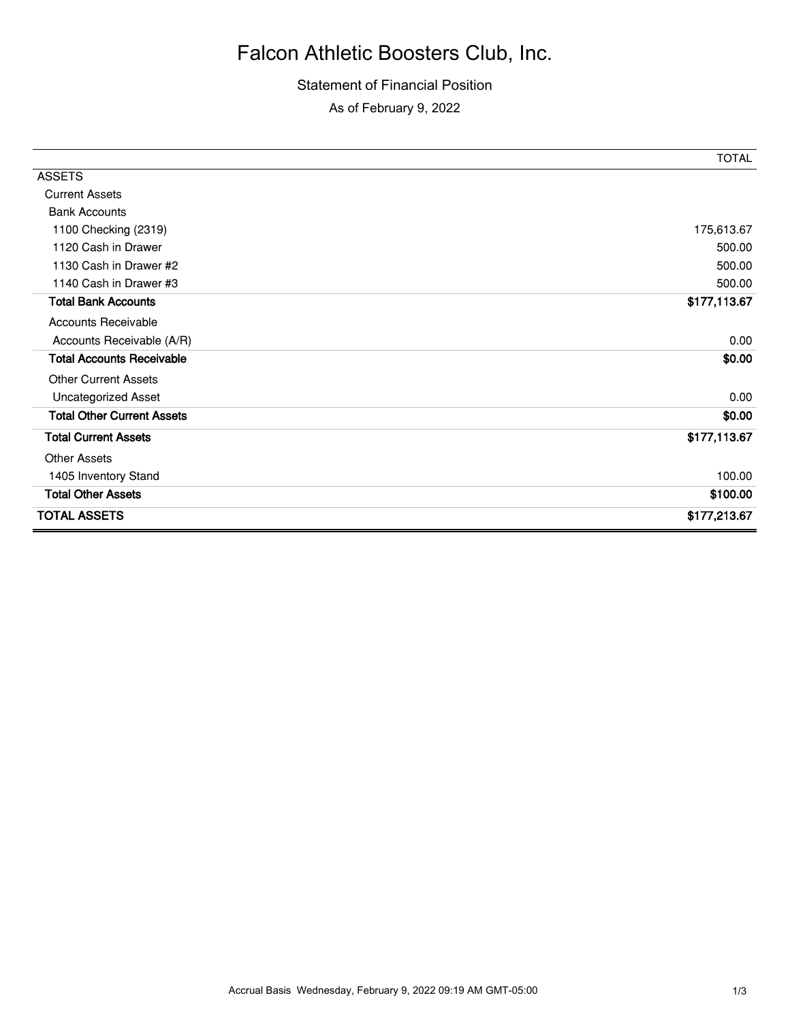## Falcon Athletic Boosters Club, Inc.

## Statement of Financial Position As of February 9, 2022

|                                   | <b>TOTAL</b> |
|-----------------------------------|--------------|
| <b>ASSETS</b>                     |              |
| <b>Current Assets</b>             |              |
| <b>Bank Accounts</b>              |              |
| 1100 Checking (2319)              | 175,613.67   |
| 1120 Cash in Drawer               | 500.00       |
| 1130 Cash in Drawer #2            | 500.00       |
| 1140 Cash in Drawer #3            | 500.00       |
| <b>Total Bank Accounts</b>        | \$177,113.67 |
| <b>Accounts Receivable</b>        |              |
| Accounts Receivable (A/R)         | 0.00         |
| <b>Total Accounts Receivable</b>  | \$0.00       |
| <b>Other Current Assets</b>       |              |
| <b>Uncategorized Asset</b>        | 0.00         |
| <b>Total Other Current Assets</b> | \$0.00       |
| <b>Total Current Assets</b>       | \$177,113.67 |
| <b>Other Assets</b>               |              |
| 1405 Inventory Stand              | 100.00       |
| <b>Total Other Assets</b>         | \$100.00     |
| <b>TOTAL ASSETS</b>               | \$177,213.67 |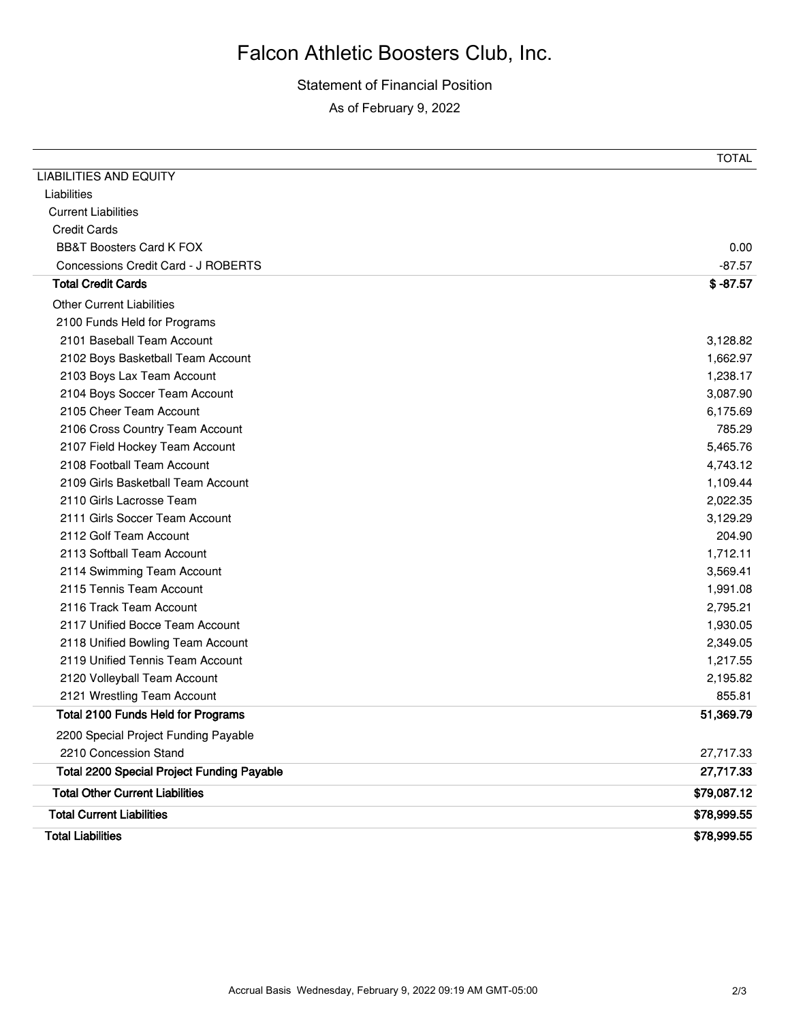## Falcon Athletic Boosters Club, Inc.

Statement of Financial Position As of February 9, 2022

|                                                   | TOTAL       |
|---------------------------------------------------|-------------|
| <b>LIABILITIES AND EQUITY</b>                     |             |
| Liabilities                                       |             |
| <b>Current Liabilities</b>                        |             |
| <b>Credit Cards</b>                               |             |
| <b>BB&amp;T Boosters Card K FOX</b>               | 0.00        |
| Concessions Credit Card - J ROBERTS               | $-87.57$    |
| <b>Total Credit Cards</b>                         | $$ -87.57$  |
| <b>Other Current Liabilities</b>                  |             |
| 2100 Funds Held for Programs                      |             |
| 2101 Baseball Team Account                        | 3,128.82    |
| 2102 Boys Basketball Team Account                 | 1,662.97    |
| 2103 Boys Lax Team Account                        | 1,238.17    |
| 2104 Boys Soccer Team Account                     | 3,087.90    |
| 2105 Cheer Team Account                           | 6,175.69    |
| 2106 Cross Country Team Account                   | 785.29      |
| 2107 Field Hockey Team Account                    | 5,465.76    |
| 2108 Football Team Account                        | 4,743.12    |
| 2109 Girls Basketball Team Account                | 1,109.44    |
| 2110 Girls Lacrosse Team                          | 2,022.35    |
| 2111 Girls Soccer Team Account                    | 3,129.29    |
| 2112 Golf Team Account                            | 204.90      |
| 2113 Softball Team Account                        | 1,712.11    |
| 2114 Swimming Team Account                        | 3,569.41    |
| 2115 Tennis Team Account                          | 1,991.08    |
| 2116 Track Team Account                           | 2,795.21    |
| 2117 Unified Bocce Team Account                   | 1,930.05    |
| 2118 Unified Bowling Team Account                 | 2,349.05    |
| 2119 Unified Tennis Team Account                  | 1,217.55    |
| 2120 Volleyball Team Account                      | 2,195.82    |
| 2121 Wrestling Team Account                       | 855.81      |
| <b>Total 2100 Funds Held for Programs</b>         | 51,369.79   |
| 2200 Special Project Funding Payable              |             |
| 2210 Concession Stand                             | 27,717.33   |
| <b>Total 2200 Special Project Funding Payable</b> | 27,717.33   |
| <b>Total Other Current Liabilities</b>            | \$79,087.12 |
| <b>Total Current Liabilities</b>                  | \$78,999.55 |
| <b>Total Liabilities</b>                          | \$78,999.55 |